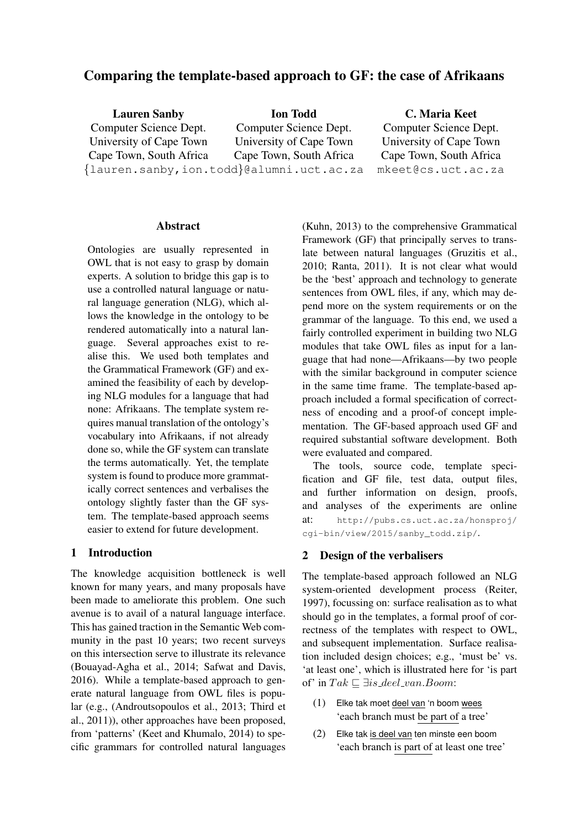# Comparing the template-based approach to GF: the case of Afrikaans

| <b>Lauren Sanby</b>     | <b>Ion Todd</b>                          | C. Maria Keet           |
|-------------------------|------------------------------------------|-------------------------|
| Computer Science Dept.  | Computer Science Dept.                   | Computer Science Dept.  |
| University of Cape Town | University of Cape Town                  | University of Cape Town |
| Cape Town, South Africa | Cape Town, South Africa                  | Cape Town, South Africa |
|                         | {lauren.sanby,ion.todd}@alumni.uct.ac.za | mkeet@cs.uct.ac.za      |

#### Abstract

Ontologies are usually represented in OWL that is not easy to grasp by domain experts. A solution to bridge this gap is to use a controlled natural language or natural language generation (NLG), which allows the knowledge in the ontology to be rendered automatically into a natural language. Several approaches exist to realise this. We used both templates and the Grammatical Framework (GF) and examined the feasibility of each by developing NLG modules for a language that had none: Afrikaans. The template system requires manual translation of the ontology's vocabulary into Afrikaans, if not already done so, while the GF system can translate the terms automatically. Yet, the template system is found to produce more grammatically correct sentences and verbalises the ontology slightly faster than the GF system. The template-based approach seems easier to extend for future development.

### 1 Introduction

The knowledge acquisition bottleneck is well known for many years, and many proposals have been made to ameliorate this problem. One such avenue is to avail of a natural language interface. This has gained traction in the Semantic Web community in the past 10 years; two recent surveys on this intersection serve to illustrate its relevance (Bouayad-Agha et al., 2014; Safwat and Davis, 2016). While a template-based approach to generate natural language from OWL files is popular (e.g., (Androutsopoulos et al., 2013; Third et al., 2011)), other approaches have been proposed, from 'patterns' (Keet and Khumalo, 2014) to specific grammars for controlled natural languages

(Kuhn, 2013) to the comprehensive Grammatical Framework (GF) that principally serves to translate between natural languages (Gruzitis et al., 2010; Ranta, 2011). It is not clear what would be the 'best' approach and technology to generate sentences from OWL files, if any, which may depend more on the system requirements or on the grammar of the language. To this end, we used a fairly controlled experiment in building two NLG modules that take OWL files as input for a language that had none—Afrikaans—by two people with the similar background in computer science in the same time frame. The template-based approach included a formal specification of correctness of encoding and a proof-of concept implementation. The GF-based approach used GF and required substantial software development. Both were evaluated and compared.

The tools, source code, template specification and GF file, test data, output files, and further information on design, proofs, and analyses of the experiments are online at: http://pubs.cs.uct.ac.za/honsproj/ cgi-bin/view/2015/sanby\_todd.zip/.

### 2 Design of the verbalisers

The template-based approach followed an NLG system-oriented development process (Reiter, 1997), focussing on: surface realisation as to what should go in the templates, a formal proof of correctness of the templates with respect to OWL, and subsequent implementation. Surface realisation included design choices; e.g., 'must be' vs. 'at least one', which is illustrated here for 'is part of' in  $Tak \sqsubseteq \exists is\_deel\_van. Boom:$ 

- (1) Elke tak moet deel van 'n boom wees 'each branch must be part of a tree'
- (2) Elke tak is deel van ten minste een boom 'each branch is part of at least one tree'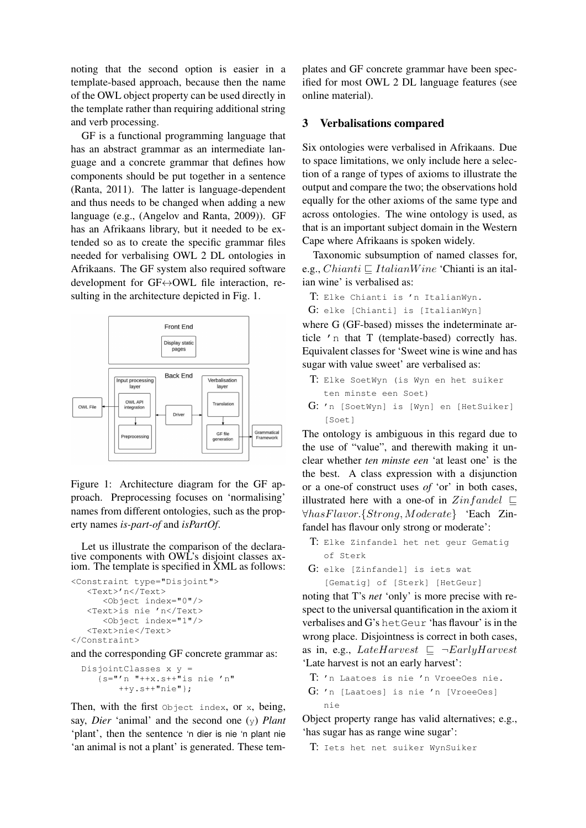noting that the second option is easier in a template-based approach, because then the name of the OWL object property can be used directly in the template rather than requiring additional string and verb processing.

GF is a functional programming language that has an abstract grammar as an intermediate language and a concrete grammar that defines how components should be put together in a sentence (Ranta, 2011). The latter is language-dependent and thus needs to be changed when adding a new language (e.g., (Angelov and Ranta, 2009)). GF has an Afrikaans library, but it needed to be extended so as to create the specific grammar files needed for verbalising OWL 2 DL ontologies in Afrikaans. The GF system also required software development for GF↔OWL file interaction, resulting in the architecture depicted in Fig. 1.



Figure 1: Architecture diagram for the GF approach. Preprocessing focuses on 'normalising' names from different ontologies, such as the property names *is-part-of* and *isPartOf*.

Let us illustrate the comparison of the declarative components with OWL's disjoint classes axiom. The template is specified in XML as follows:

```
<Constraint type="Disjoint">
   <Text>'n</Text>
      <Object index="0"/>
   <Text>is nie 'n</Text>
      <Object index="1"/>
   <Text>nie</Text>
</Constraint>
```
and the corresponding GF concrete grammar as:

```
DisjointClasses x y ={s="'n "++x.s++\bar{ }"is nie 'n"
        ++y.s++"nie"};
```
Then, with the first object index, or x, being, say, *Dier* 'animal' and the second one (y) *Plant* 'plant', then the sentence 'n dier is nie 'n plant nie 'an animal is not a plant' is generated. These tem-

plates and GF concrete grammar have been specified for most OWL 2 DL language features (see online material).

## 3 Verbalisations compared

Six ontologies were verbalised in Afrikaans. Due to space limitations, we only include here a selection of a range of types of axioms to illustrate the output and compare the two; the observations hold equally for the other axioms of the same type and across ontologies. The wine ontology is used, as that is an important subject domain in the Western Cape where Afrikaans is spoken widely.

Taxonomic subsumption of named classes for, e.g., *Chianti*  $\sqsubseteq$  *ItalianWine* 'Chianti is an italian wine' is verbalised as:

```
T: Elke Chianti is 'n ItalianWyn.
G: elke [Chianti] is [ItalianWyn]
```
where G (GF-based) misses the indeterminate article 'n that T (template-based) correctly has. Equivalent classes for 'Sweet wine is wine and has sugar with value sweet' are verbalised as:

- T: Elke SoetWyn (is Wyn en het suiker ten minste een Soet)
- G: 'n [SoetWyn] is [Wyn] en [HetSuiker] [Soet]

The ontology is ambiguous in this regard due to the use of "value", and therewith making it unclear whether *ten minste een* 'at least one' is the the best. A class expression with a disjunction or a one-of construct uses *of* 'or' in both cases, illustrated here with a one-of in  $Zin fandel \subseteq$ ∀hasFlavor.{Strong, Moderate} 'Each Zinfandel has flavour only strong or moderate':

- T: Elke Zinfandel het net geur Gematig of Sterk
- G: elke [Zinfandel] is iets wat [Gematig] of [Sterk] [HetGeur]

noting that T's *net* 'only' is more precise with respect to the universal quantification in the axiom it verbalises and G's hetGeur 'has flavour' is in the wrong place. Disjointness is correct in both cases, as in, e.g., LateHarvest  $\subseteq \neg EarlyHarvest$ 'Late harvest is not an early harvest':

```
T: 'n Laatoes is nie 'n VroeeOes nie.
G: 'n [Laatoes] is nie 'n [VroeeOes]
   nie
```
Object property range has valid alternatives; e.g., 'has sugar has as range wine sugar':

T: Iets het net suiker WynSuiker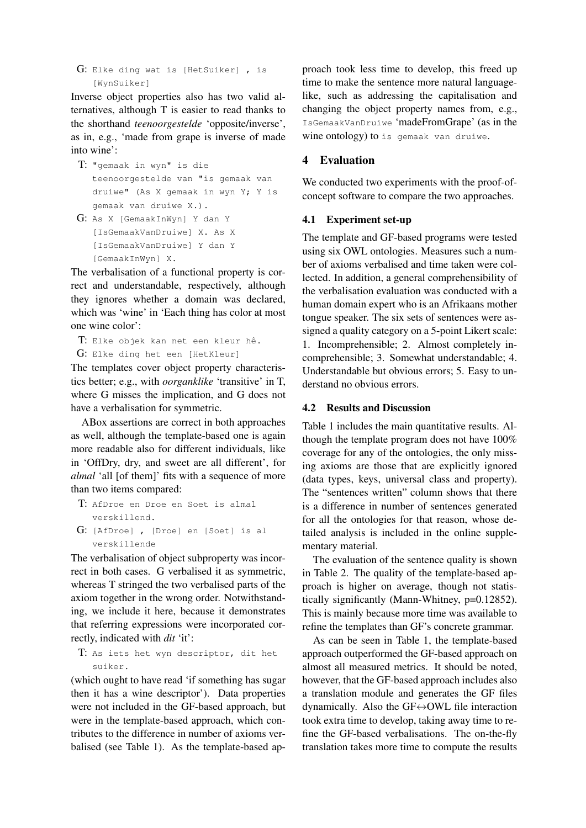G: Elke ding wat is [HetSuiker] , is [WynSuiker]

Inverse object properties also has two valid alternatives, although T is easier to read thanks to the shorthand *teenoorgestelde* 'opposite/inverse', as in, e.g., 'made from grape is inverse of made into wine':

- T: "gemaak in wyn" is die teenoorgestelde van "is gemaak van druiwe" (As X gemaak in wyn Y; Y is gemaak van druiwe X.).
- G: As X [GemaakInWyn] Y dan Y [IsGemaakVanDruiwe] X. As X [IsGemaakVanDruiwe] Y dan Y [GemaakInWyn] X.

The verbalisation of a functional property is correct and understandable, respectively, although they ignores whether a domain was declared, which was 'wine' in 'Each thing has color at most one wine color':

```
T: Elke objek kan net een kleur hê.
G: Elke ding het een [HetKleur]
```
The templates cover object property characteristics better; e.g., with *oorganklike* 'transitive' in T, where G misses the implication, and G does not have a verbalisation for symmetric.

ABox assertions are correct in both approaches as well, although the template-based one is again more readable also for different individuals, like in 'OffDry, dry, and sweet are all different', for *almal* 'all [of them]' fits with a sequence of more than two items compared:

T: AfDroe en Droe en Soet is almal verskillend. G: [AfDroe] , [Droe] en [Soet] is al

verskillende The verbalisation of object subproperty was incorrect in both cases. G verbalised it as symmetric, whereas T stringed the two verbalised parts of the axiom together in the wrong order. Notwithstanding, we include it here, because it demonstrates that referring expressions were incorporated correctly, indicated with *dit* 'it':

T: As iets het wyn descriptor, dit het suiker.

(which ought to have read 'if something has sugar then it has a wine descriptor'). Data properties were not included in the GF-based approach, but were in the template-based approach, which contributes to the difference in number of axioms verbalised (see Table 1). As the template-based approach took less time to develop, this freed up time to make the sentence more natural languagelike, such as addressing the capitalisation and changing the object property names from, e.g., IsGemaakVanDruiwe 'madeFromGrape' (as in the wine ontology) to is gemaak van druiwe.

## 4 Evaluation

We conducted two experiments with the proof-ofconcept software to compare the two approaches.

### 4.1 Experiment set-up

The template and GF-based programs were tested using six OWL ontologies. Measures such a number of axioms verbalised and time taken were collected. In addition, a general comprehensibility of the verbalisation evaluation was conducted with a human domain expert who is an Afrikaans mother tongue speaker. The six sets of sentences were assigned a quality category on a 5-point Likert scale: 1. Incomprehensible; 2. Almost completely incomprehensible; 3. Somewhat understandable; 4. Understandable but obvious errors; 5. Easy to understand no obvious errors.

### 4.2 Results and Discussion

Table 1 includes the main quantitative results. Although the template program does not have 100% coverage for any of the ontologies, the only missing axioms are those that are explicitly ignored (data types, keys, universal class and property). The "sentences written" column shows that there is a difference in number of sentences generated for all the ontologies for that reason, whose detailed analysis is included in the online supplementary material.

The evaluation of the sentence quality is shown in Table 2. The quality of the template-based approach is higher on average, though not statistically significantly (Mann-Whitney, p=0.12852). This is mainly because more time was available to refine the templates than GF's concrete grammar.

As can be seen in Table 1, the template-based approach outperformed the GF-based approach on almost all measured metrics. It should be noted, however, that the GF-based approach includes also a translation module and generates the GF files dynamically. Also the GF↔OWL file interaction took extra time to develop, taking away time to refine the GF-based verbalisations. The on-the-fly translation takes more time to compute the results